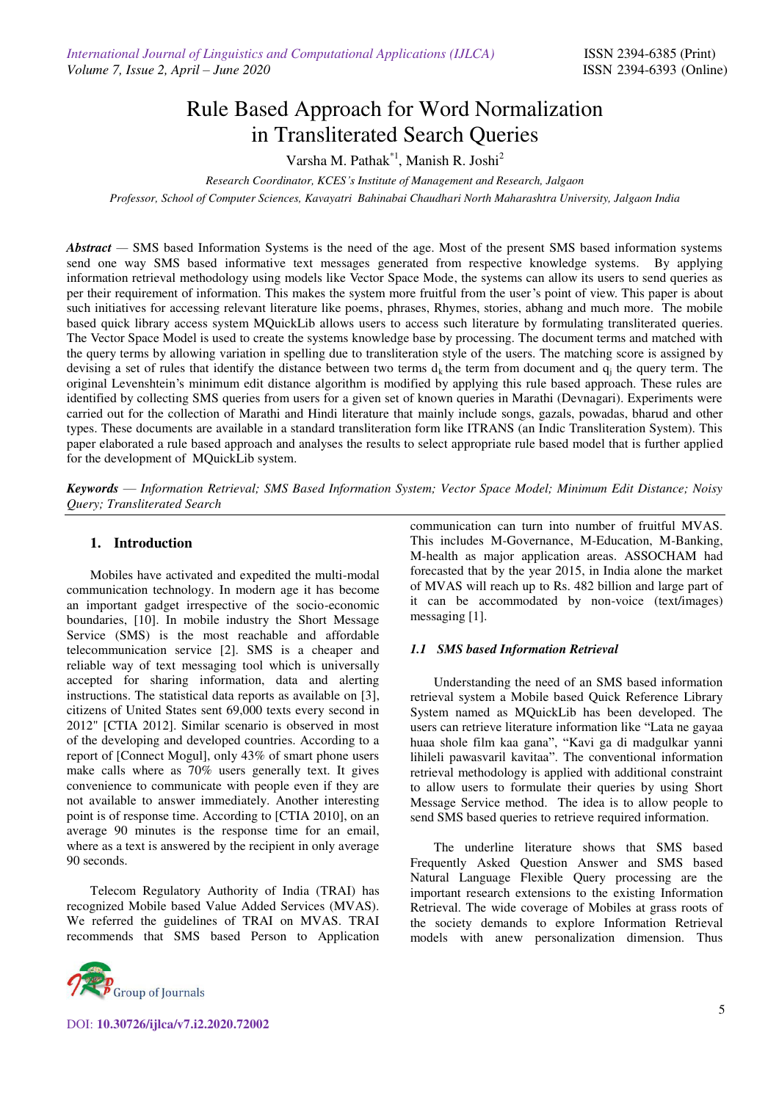# Rule Based Approach for Word Normalization in Transliterated Search Queries

Varsha M. Pathak\*1, Manish R. Joshi<sup>2</sup>

*Research Coordinator, KCES's Institute of Management and Research, Jalgaon* 

*Professor, School of Computer Sciences, Kavayatri Bahinabai Chaudhari North Maharashtra University, Jalgaon India* 

*Abstract —* SMS based Information Systems is the need of the age. Most of the present SMS based information systems send one way SMS based informative text messages generated from respective knowledge systems. By applying information retrieval methodology using models like Vector Space Mode, the systems can allow its users to send queries as per their requirement of information. This makes the system more fruitful from the user's point of view. This paper is about such initiatives for accessing relevant literature like poems, phrases, Rhymes, stories, abhang and much more. The mobile based quick library access system MQuickLib allows users to access such literature by formulating transliterated queries. The Vector Space Model is used to create the systems knowledge base by processing. The document terms and matched with the query terms by allowing variation in spelling due to transliteration style of the users. The matching score is assigned by devising a set of rules that identify the distance between two terms  $d_k$  the term from document and  $q_i$  the query term. The original Levenshtein's minimum edit distance algorithm is modified by applying this rule based approach. These rules are identified by collecting SMS queries from users for a given set of known queries in Marathi (Devnagari). Experiments were carried out for the collection of Marathi and Hindi literature that mainly include songs, gazals, powadas, bharud and other types. These documents are available in a standard transliteration form like ITRANS (an Indic Transliteration System). This paper elaborated a rule based approach and analyses the results to select appropriate rule based model that is further applied for the development of MQuickLib system.

*Keywords* — *Information Retrieval; SMS Based Information System; Vector Space Model; Minimum Edit Distance; Noisy Query; Transliterated Search* 

## **1. Introduction**

Mobiles have activated and expedited the multi-modal communication technology. In modern age it has become an important gadget irrespective of the socio-economic boundaries, [10]. In mobile industry the Short Message Service (SMS) is the most reachable and affordable telecommunication service [2]. SMS is a cheaper and reliable way of text messaging tool which is universally accepted for sharing information, data and alerting instructions. The statistical data reports as available on [3], citizens of United States sent 69,000 texts every second in 2012" [CTIA 2012]. Similar scenario is observed in most of the developing and developed countries. According to a report of [Connect Mogul], only 43% of smart phone users make calls where as 70% users generally text. It gives convenience to communicate with people even if they are not available to answer immediately. Another interesting point is of response time. According to [CTIA 2010], on an average 90 minutes is the response time for an email, where as a text is answered by the recipient in only average 90 seconds.

Telecom Regulatory Authority of India (TRAI) has recognized Mobile based Value Added Services (MVAS). We referred the guidelines of TRAI on MVAS. TRAI recommends that SMS based Person to Application



DOI: **10.30726/ijlca/v7.i2.2020.72002**

communication can turn into number of fruitful MVAS. This includes M-Governance, M-Education, M-Banking, M-health as major application areas. ASSOCHAM had forecasted that by the year 2015, in India alone the market of MVAS will reach up to Rs. 482 billion and large part of it can be accommodated by non-voice (text/images) messaging [1].

## *1.1 SMS based Information Retrieval*

Understanding the need of an SMS based information retrieval system a Mobile based Quick Reference Library System named as MQuickLib has been developed. The users can retrieve literature information like "Lata ne gayaa huaa shole film kaa gana", "Kavi ga di madgulkar yanni lihileli pawasvaril kavitaa". The conventional information retrieval methodology is applied with additional constraint to allow users to formulate their queries by using Short Message Service method. The idea is to allow people to send SMS based queries to retrieve required information.

The underline literature shows that SMS based Frequently Asked Question Answer and SMS based Natural Language Flexible Query processing are the important research extensions to the existing Information Retrieval. The wide coverage of Mobiles at grass roots of the society demands to explore Information Retrieval models with anew personalization dimension. Thus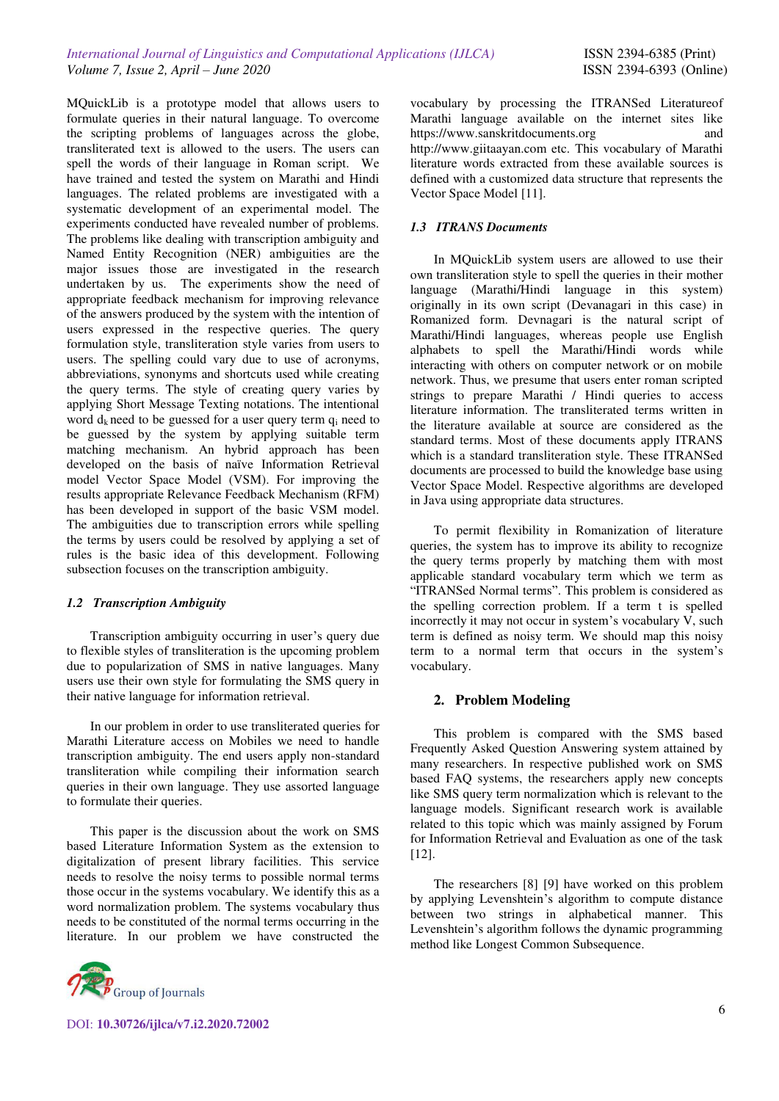MQuickLib is a prototype model that allows users to formulate queries in their natural language. To overcome the scripting problems of languages across the globe, transliterated text is allowed to the users. The users can spell the words of their language in Roman script. We have trained and tested the system on Marathi and Hindi languages. The related problems are investigated with a systematic development of an experimental model. The experiments conducted have revealed number of problems. The problems like dealing with transcription ambiguity and Named Entity Recognition (NER) ambiguities are the major issues those are investigated in the research undertaken by us. The experiments show the need of appropriate feedback mechanism for improving relevance of the answers produced by the system with the intention of users expressed in the respective queries. The query formulation style, transliteration style varies from users to users. The spelling could vary due to use of acronyms, abbreviations, synonyms and shortcuts used while creating the query terms. The style of creating query varies by applying Short Message Texting notations. The intentional word  $d_k$  need to be guessed for a user query term  $q_i$  need to be guessed by the system by applying suitable term matching mechanism. An hybrid approach has been developed on the basis of naïve Information Retrieval model Vector Space Model (VSM). For improving the results appropriate Relevance Feedback Mechanism (RFM) has been developed in support of the basic VSM model. The ambiguities due to transcription errors while spelling the terms by users could be resolved by applying a set of rules is the basic idea of this development. Following subsection focuses on the transcription ambiguity.

## *1.2 Transcription Ambiguity*

Transcription ambiguity occurring in user's query due to flexible styles of transliteration is the upcoming problem due to popularization of SMS in native languages. Many users use their own style for formulating the SMS query in their native language for information retrieval.

In our problem in order to use transliterated queries for Marathi Literature access on Mobiles we need to handle transcription ambiguity. The end users apply non-standard transliteration while compiling their information search queries in their own language. They use assorted language to formulate their queries.

This paper is the discussion about the work on SMS based Literature Information System as the extension to digitalization of present library facilities. This service needs to resolve the noisy terms to possible normal terms those occur in the systems vocabulary. We identify this as a word normalization problem. The systems vocabulary thus needs to be constituted of the normal terms occurring in the literature. In our problem we have constructed the



DOI: **10.30726/ijlca/v7.i2.2020.72002**

vocabulary by processing the ITRANSed Literatureof Marathi language available on the internet sites like [https://www.sanskritdocuments.org](https://www.sanskritdocuments.org/) and [http://www.giitaayan.com](http://www.giitaayan.com/) etc. This vocabulary of Marathi literature words extracted from these available sources is defined with a customized data structure that represents the Vector Space Model [11].

# *1.3 ITRANS Documents*

In MQuickLib system users are allowed to use their own transliteration style to spell the queries in their mother language (Marathi/Hindi language in this system) originally in its own script (Devanagari in this case) in Romanized form. Devnagari is the natural script of Marathi/Hindi languages, whereas people use English alphabets to spell the Marathi/Hindi words while interacting with others on computer network or on mobile network. Thus, we presume that users enter roman scripted strings to prepare Marathi / Hindi queries to access literature information. The transliterated terms written in the literature available at source are considered as the standard terms. Most of these documents apply ITRANS which is a standard transliteration style. These ITRANSed documents are processed to build the knowledge base using Vector Space Model. Respective algorithms are developed in Java using appropriate data structures.

To permit flexibility in Romanization of literature queries, the system has to improve its ability to recognize the query terms properly by matching them with most applicable standard vocabulary term which we term as "ITRANSed Normal terms". This problem is considered as the spelling correction problem. If a term t is spelled incorrectly it may not occur in system's vocabulary V, such term is defined as noisy term. We should map this noisy term to a normal term that occurs in the system's vocabulary.

# **2. Problem Modeling**

This problem is compared with the SMS based Frequently Asked Question Answering system attained by many researchers. In respective published work on SMS based FAQ systems, the researchers apply new concepts like SMS query term normalization which is relevant to the language models. Significant research work is available related to this topic which was mainly assigned by Forum for Information Retrieval and Evaluation as one of the task [12].

The researchers [8] [9] have worked on this problem by applying Levenshtein's algorithm to compute distance between two strings in alphabetical manner. This Levenshtein's algorithm follows the dynamic programming method like Longest Common Subsequence.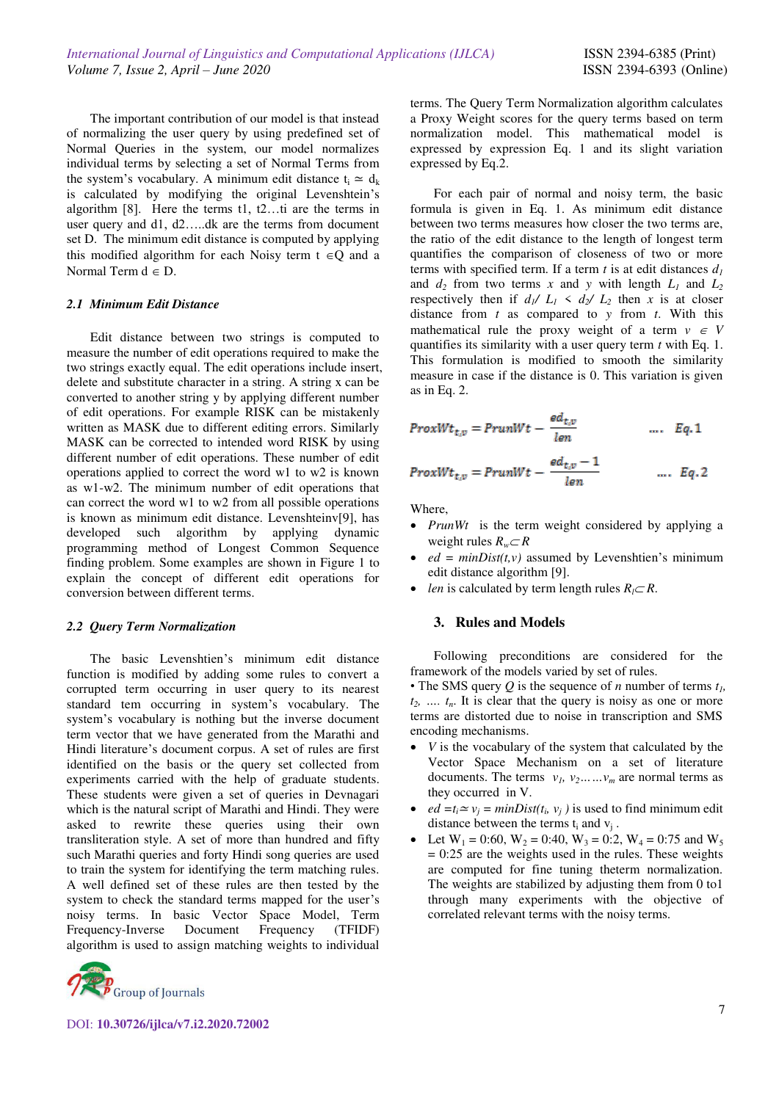The important contribution of our model is that instead of normalizing the user query by using predefined set of Normal Queries in the system, our model normalizes individual terms by selecting a set of Normal Terms from the system's vocabulary. A minimum edit distance  $t_i \approx d_k$ is calculated by modifying the original Levenshtein's algorithm [8]. Here the terms t1, t2…ti are the terms in user query and d1, d2…..dk are the terms from document set D. The minimum edit distance is computed by applying this modified algorithm for each Noisy term  $t \in Q$  and a Normal Term  $d \in D$ .

#### *2.1 Minimum Edit Distance*

Edit distance between two strings is computed to measure the number of edit operations required to make the two strings exactly equal. The edit operations include insert, delete and substitute character in a string. A string x can be converted to another string y by applying different number of edit operations. For example RISK can be mistakenly written as MASK due to different editing errors. Similarly MASK can be corrected to intended word RISK by using different number of edit operations. These number of edit operations applied to correct the word w1 to w2 is known as w1-w2. The minimum number of edit operations that can correct the word w1 to w2 from all possible operations is known as minimum edit distance. Levenshteinv[9], has developed such algorithm by applying dynamic programming method of Longest Common Sequence finding problem. Some examples are shown in Figure 1 to explain the concept of different edit operations for conversion between different terms.

## *2.2 Query Term Normalization*

The basic Levenshtien's minimum edit distance function is modified by adding some rules to convert a corrupted term occurring in user query to its nearest standard tem occurring in system's vocabulary. The system's vocabulary is nothing but the inverse document term vector that we have generated from the Marathi and Hindi literature's document corpus. A set of rules are first identified on the basis or the query set collected from experiments carried with the help of graduate students. These students were given a set of queries in Devnagari which is the natural script of Marathi and Hindi. They were asked to rewrite these queries using their own transliteration style. A set of more than hundred and fifty such Marathi queries and forty Hindi song queries are used to train the system for identifying the term matching rules. A well defined set of these rules are then tested by the system to check the standard terms mapped for the user's noisy terms. In basic Vector Space Model, Term Frequency-Inverse Document Frequency (TFIDF) algorithm is used to assign matching weights to individual



DOI: **10.30726/ijlca/v7.i2.2020.72002**

terms. The Query Term Normalization algorithm calculates a Proxy Weight scores for the query terms based on term normalization model. This mathematical model is expressed by expression Eq. 1 and its slight variation expressed by Eq.2.

For each pair of normal and noisy term, the basic formula is given in Eq. 1. As minimum edit distance between two terms measures how closer the two terms are, the ratio of the edit distance to the length of longest term quantifies the comparison of closeness of two or more terms with specified term. If a term  $t$  is at edit distances  $d_t$ and  $d_2$  from two terms *x* and *y* with length  $L_1$  and  $L_2$ respectively then if  $d_1 / L_1 \le d_2 / L_2$  then *x* is at closer distance from *t* as compared to *y* from *t*. With this mathematical rule the proxy weight of a term  $v \in V$ quantifies its similarity with a user query term *t* with Eq. 1. This formulation is modified to smooth the similarity measure in case if the distance is 0. This variation is given as in Eq. 2.

$$
ProxWt_{t,v}=PrunWt-\frac{ed_{t,v}}{len} \qquad \qquad \ldots \quad Eq.1
$$

$$
ProxWt_{t,v} = PrunWt - \frac{ed_{t,v} - 1}{len} \qquad \dots \quad Eq. 2
$$

Where,

- *PrunWt* is the term weight considered by applying a weight rules  $R_w \subset R$
- $ed = minDist(t, v)$  assumed by Levenshtien's minimum edit distance algorithm [9].
- *len* is calculated by term length rules  $R_l \subset R$ .

#### **3. Rules and Models**

Following preconditions are considered for the framework of the models varied by set of rules.

• The SMS query *Q* is the sequence of *n* number of terms *t1,*   $t_2$ , ...,  $t_n$ . It is clear that the query is noisy as one or more terms are distorted due to noise in transcription and SMS encoding mechanisms.

- *V* is the vocabulary of the system that calculated by the Vector Space Mechanism on a set of literature documents. The terms  $v_1, v_2, \ldots, v_m$  are normal terms as they occurred in V.
- *ed* =  $t_i \approx v_j = minDist(t_i, v_j)$  is used to find minimum edit distance between the terms  $t_i$  and  $v_j$ .
- Let  $W_1 = 0.60$ ,  $W_2 = 0.40$ ,  $W_3 = 0.2$ ,  $W_4 = 0.75$  and  $W_5$  $= 0:25$  are the weights used in the rules. These weights are computed for fine tuning theterm normalization. The weights are stabilized by adjusting them from 0 to1 through many experiments with the objective of correlated relevant terms with the noisy terms.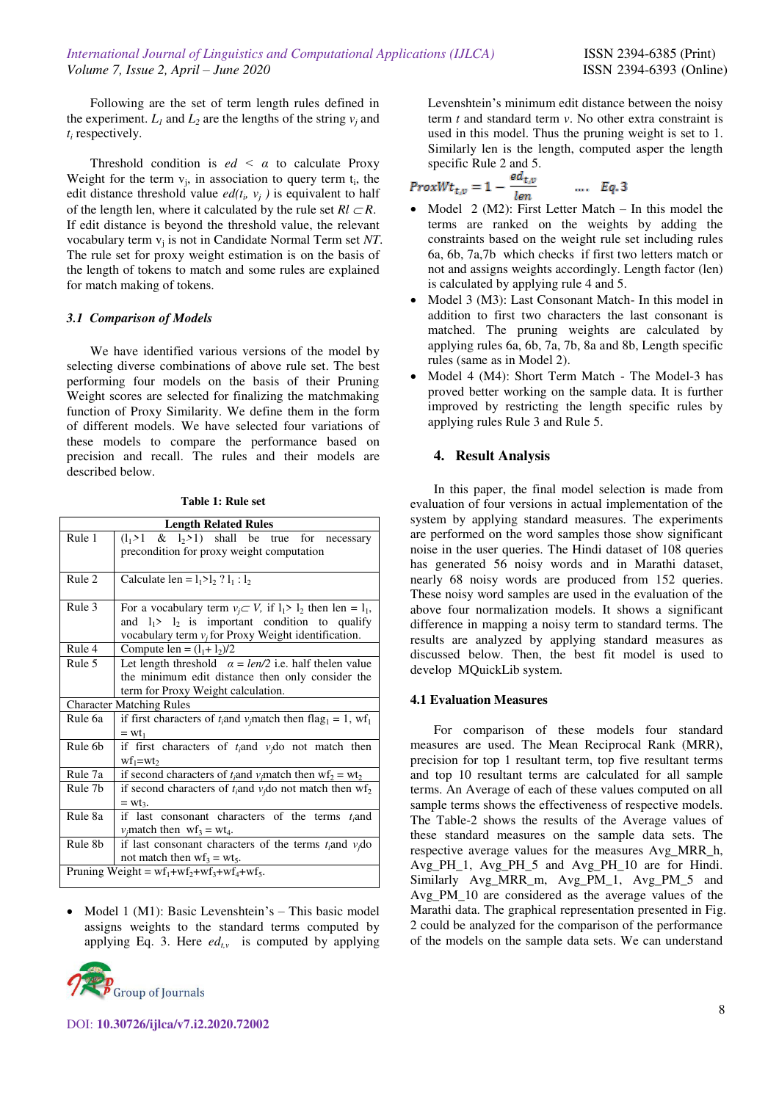Following are the set of term length rules defined in the experiment.  $L_1$  and  $L_2$  are the lengths of the string  $v_j$  and *ti* respectively.

Threshold condition is  $ed < \alpha$  to calculate Proxy Weight for the term  $v_j$ , in association to query term  $t_i$ , the edit distance threshold value  $ed(t_i, v_j)$  is equivalent to half of the length len, where it calculated by the rule set  $Rl \subset R$ . If edit distance is beyond the threshold value, the relevant vocabulary term  $v_j$  is not in Candidate Normal Term set NT. The rule set for proxy weight estimation is on the basis of the length of tokens to match and some rules are explained for match making of tokens.

## *3.1 Comparison of Models*

We have identified various versions of the model by selecting diverse combinations of above rule set. The best performing four models on the basis of their Pruning Weight scores are selected for finalizing the matchmaking function of Proxy Similarity. We define them in the form of different models. We have selected four variations of these models to compare the performance based on precision and recall. The rules and their models are described below.

**Table 1: Rule set**

| <b>Length Related Rules</b>                   |                                                                                          |  |  |  |  |
|-----------------------------------------------|------------------------------------------------------------------------------------------|--|--|--|--|
| Rule 1                                        | $(l_1 > 1 \& l_2 > 1)$ shall be true for necessary                                       |  |  |  |  |
|                                               | precondition for proxy weight computation                                                |  |  |  |  |
|                                               |                                                                                          |  |  |  |  |
| Rule 2                                        | Calculate len = $l_1 > l_2$ ? $l_1 : l_2$                                                |  |  |  |  |
|                                               |                                                                                          |  |  |  |  |
| Rule 3                                        | For a vocabulary term $v_i \subset V$ , if $l_1 > l_2$ then len = $l_1$ ,                |  |  |  |  |
|                                               | and $l_1$ > $l_2$ is important condition to qualify                                      |  |  |  |  |
|                                               | vocabulary term $v_i$ for Proxy Weight identification.                                   |  |  |  |  |
| Rule 4                                        | Compute len = $(l_1 + l_2)/2$                                                            |  |  |  |  |
| Rule 5                                        | Let length threshold $\alpha = len/2$ i.e. half the len value                            |  |  |  |  |
|                                               | the minimum edit distance then only consider the                                         |  |  |  |  |
| term for Proxy Weight calculation.            |                                                                                          |  |  |  |  |
| <b>Character Matching Rules</b>               |                                                                                          |  |  |  |  |
| Rule 6a                                       | if first characters of $t_i$ and $v_j$ match then flag <sub>1</sub> = 1, wf <sub>1</sub> |  |  |  |  |
|                                               | $= wt_1$                                                                                 |  |  |  |  |
| Rule 6b                                       | if first characters of $t_i$ and $v_i$ do not match then                                 |  |  |  |  |
|                                               | $wf_1 = wt_2$                                                                            |  |  |  |  |
| Rule 7a                                       | if second characters of $t_i$ and $v_j$ match then $wf_2 = wt_2$                         |  |  |  |  |
| Rule 7b                                       | if second characters of $t_i$ and $v_j$ do not match then $wf_2$                         |  |  |  |  |
|                                               | $= Wt3$ .                                                                                |  |  |  |  |
| Rule 8a                                       | if last consonant characters of the terms $t_i$ and                                      |  |  |  |  |
|                                               | $v_i$ match then $wf_3 = wt_4$ .                                                         |  |  |  |  |
| Rule 8 <sub>b</sub>                           | if last consonant characters of the terms $t_i$ and $v_j$ do                             |  |  |  |  |
|                                               | not match then $\text{wf}_3 = \text{wt}_5$ .                                             |  |  |  |  |
| Pruning Weight = $wf_1+wf_2+wf_3+wf_4+wf_5$ . |                                                                                          |  |  |  |  |

• Model 1 (M1): Basic Levenshtein's  $-$  This basic model assigns weights to the standard terms computed by applying Eq. 3. Here  $ed_{tv}$  is computed by applying



Levenshtein's minimum edit distance between the noisy term *t* and standard term *v*. No other extra constraint is used in this model. Thus the pruning weight is set to 1. Similarly len is the length, computed asper the length specific Rule 2 and 5.

$$
ProxWt_{t,v} = 1 - \frac{ea_{t,v}}{len} \qquad \dots \quad Eq. 3
$$

- Model 2 (M2): First Letter Match In this model the terms are ranked on the weights by adding the constraints based on the weight rule set including rules 6a, 6b, 7a,7b which checks if first two letters match or not and assigns weights accordingly. Length factor (len) is calculated by applying rule 4 and 5.
- Model 3 (M3): Last Consonant Match- In this model in addition to first two characters the last consonant is matched. The pruning weights are calculated by applying rules 6a, 6b, 7a, 7b, 8a and 8b, Length specific rules (same as in Model 2).
- Model 4 (M4): Short Term Match The Model-3 has proved better working on the sample data. It is further improved by restricting the length specific rules by applying rules Rule 3 and Rule 5.

# **4. Result Analysis**

In this paper, the final model selection is made from evaluation of four versions in actual implementation of the system by applying standard measures. The experiments are performed on the word samples those show significant noise in the user queries. The Hindi dataset of 108 queries has generated 56 noisy words and in Marathi dataset, nearly 68 noisy words are produced from 152 queries. These noisy word samples are used in the evaluation of the above four normalization models. It shows a significant difference in mapping a noisy term to standard terms. The results are analyzed by applying standard measures as discussed below. Then, the best fit model is used to develop MQuickLib system.

## **4.1 Evaluation Measures**

For comparison of these models four standard measures are used. The Mean Reciprocal Rank (MRR), precision for top 1 resultant term, top five resultant terms and top 10 resultant terms are calculated for all sample terms. An Average of each of these values computed on all sample terms shows the effectiveness of respective models. The Table-2 shows the results of the Average values of these standard measures on the sample data sets. The respective average values for the measures Avg\_MRR\_h, Avg\_PH\_1, Avg\_PH\_5 and Avg\_PH\_10 are for Hindi. Similarly Avg\_MRR\_m, Avg\_PM\_1, Avg\_PM\_5 and Avg\_PM\_10 are considered as the average values of the Marathi data. The graphical representation presented in Fig. 2 could be analyzed for the comparison of the performance of the models on the sample data sets. We can understand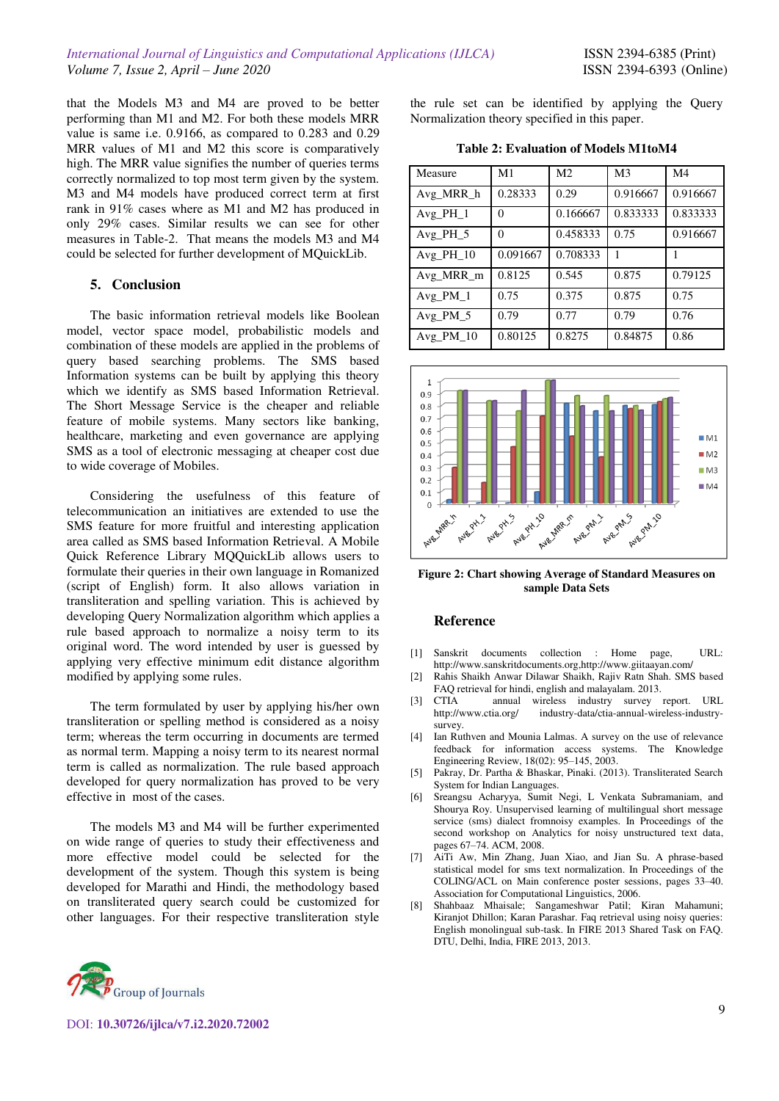that the Models M3 and M4 are proved to be better performing than M1 and M2. For both these models MRR value is same i.e. 0.9166, as compared to 0.283 and 0.29 MRR values of M1 and M2 this score is comparatively high. The MRR value signifies the number of queries terms correctly normalized to top most term given by the system. M3 and M4 models have produced correct term at first rank in 91% cases where as M1 and M2 has produced in only 29% cases. Similar results we can see for other measures in Table-2. That means the models M3 and M4 could be selected for further development of MQuickLib.

## **5. Conclusion**

The basic information retrieval models like Boolean model, vector space model, probabilistic models and combination of these models are applied in the problems of query based searching problems. The SMS based Information systems can be built by applying this theory which we identify as SMS based Information Retrieval. The Short Message Service is the cheaper and reliable feature of mobile systems. Many sectors like banking, healthcare, marketing and even governance are applying SMS as a tool of electronic messaging at cheaper cost due to wide coverage of Mobiles.

Considering the usefulness of this feature of telecommunication an initiatives are extended to use the SMS feature for more fruitful and interesting application area called as SMS based Information Retrieval. A Mobile Quick Reference Library MQQuickLib allows users to formulate their queries in their own language in Romanized (script of English) form. It also allows variation in transliteration and spelling variation. This is achieved by developing Query Normalization algorithm which applies a rule based approach to normalize a noisy term to its original word. The word intended by user is guessed by applying very effective minimum edit distance algorithm modified by applying some rules.

The term formulated by user by applying his/her own transliteration or spelling method is considered as a noisy term; whereas the term occurring in documents are termed as normal term. Mapping a noisy term to its nearest normal term is called as normalization. The rule based approach developed for query normalization has proved to be very effective in most of the cases.

The models M3 and M4 will be further experimented on wide range of queries to study their effectiveness and more effective model could be selected for the development of the system. Though this system is being developed for Marathi and Hindi, the methodology based on transliterated query search could be customized for other languages. For their respective transliteration style the rule set can be identified by applying the Query Normalization theory specified in this paper.

**Table 2: Evaluation of Models M1toM4** 

| Measure     | M <sub>1</sub> | M <sub>2</sub> | M <sub>3</sub> | M <sub>4</sub> |
|-------------|----------------|----------------|----------------|----------------|
| Avg_MRR_h   | 0.28333        | 0.29           | 0.916667       | 0.916667       |
| Avg PH 1    | $\Omega$       | 0.166667       | 0.833333       | 0.833333       |
| Avg PH $5$  | $\Omega$       | 0.458333       | 0.75           | 0.916667       |
| Avg PH $10$ | 0.091667       | 0.708333       |                |                |
| Avg MRR m   | 0.8125         | 0.545          | 0.875          | 0.79125        |
| Avg $PM$ 1  | 0.75           | 0.375          | 0.875          | 0.75           |
| Avg PM 5    | 0.79           | 0.77           | 0.79           | 0.76           |
| Avg PM 10   | 0.80125        | 0.8275         | 0.84875        | 0.86           |



**Figure 2: Chart showing Average of Standard Measures on sample Data Sets** 

#### **Reference**

- [1] Sanskrit documents collection : Home page, URL: [http://www.sanskritdocuments.org,http://www.giitaayan.com/](http://www.sanskritdocuments.org,http/www.giitaayan.com/)
- [2] Rahis Shaikh Anwar Dilawar Shaikh, Rajiv Ratn Shah. SMS based FAQ retrieval for hindi, english and malayalam. 2013.
- [3] CTIA annual wireless industry survey report. URL industry-data/ctia-annual-wireless-industrysurvey.
- [4] Ian Ruthven and Mounia Lalmas. A survey on the use of relevance feedback for information access systems. The Knowledge Engineering Review, 18(02): 95–145, 2003.
- [5] Pakray, Dr. Partha & Bhaskar, Pinaki. (2013). Transliterated Search System for Indian Languages.
- [6] Sreangsu Acharyya, Sumit Negi, L Venkata Subramaniam, and Shourya Roy. Unsupervised learning of multilingual short message service (sms) dialect fromnoisy examples. In Proceedings of the second workshop on Analytics for noisy unstructured text data, pages 67–74. ACM, 2008.
- [7] AiTi Aw, Min Zhang, Juan Xiao, and Jian Su. A phrase-based statistical model for sms text normalization. In Proceedings of the COLING/ACL on Main conference poster sessions, pages 33–40. Association for Computational Linguistics, 2006.
- [8] Shahbaaz Mhaisale; Sangameshwar Patil; Kiran Mahamuni; Kiranjot Dhillon; Karan Parashar. Faq retrieval using noisy queries: English monolingual sub-task. In FIRE 2013 Shared Task on FAQ. DTU, Delhi, India, FIRE 2013, 2013.



DOI: **10.30726/ijlca/v7.i2.2020.72002**